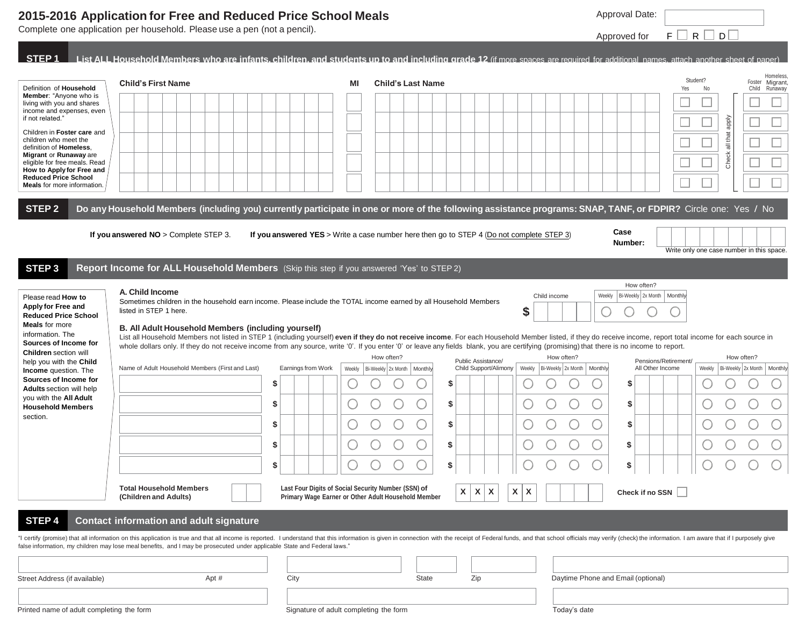## **2015-2016 Application for Free and Reduced Price School Meals**

Complete one application per household. Please use a pen (not a pencil).

| List ALL Household Members who are infants, children, and students up to and including grade 12 (if more spaces are required for additional names, attach another sheet of paper)<br>Homeless<br>Student?<br>Migrant<br><b>Child's First Name</b><br>ΜI<br><b>Child's Last Name</b><br>Foster<br>Definition of Household<br>Yes<br>No<br>Child<br>Runaway<br><b>Member:</b> "Anyone who is<br>living with you and shares<br>income and expenses, even<br>ddde<br>if not related."<br>Children in Foster care and<br>all that<br>children who meet the<br>definition of Homeless.<br>Check<br>Migrant or Runaway are<br>eligible for free meals. Read<br>How to Apply for Free and<br><b>Reduced Price School</b><br><b>Meals</b> for more information.<br>STEP <sub>2</sub><br>Do any Household Members (including you) currently participate in one or more of the following assistance programs: SNAP, TANF, or FDPIR? Circle one: Yes / No<br>Case<br>If you answered NO > Complete STEP 3.<br>If you answered YES > Write a case number here then go to STEP 4 (Do not complete STEP 3)<br>Number:<br>Write only one case number in this space<br>STEP <sub>3</sub><br>Report Income for ALL Household Members (Skip this step if you answered 'Yes' to STEP 2)<br>How often?<br>A. Child Income<br>Child income<br>Bi-Weekly 2x Month<br>Weekly<br>Monthly<br>Please read How to<br>Sometimes children in the household earn income. Please include the TOTAL income earned by all Household Members<br>Apply for Free and<br>\$<br>listed in STEP 1 here.<br><b>Reduced Price School</b><br><b>Meals</b> for more<br>B. All Adult Household Members (including yourself)<br>information. The<br>List all Household Members not listed in STEP 1 (including yourself) even if they do not receive income. For each Household Member listed, if they do receive income, report total income for each source in<br>Sources of Income for<br>whole dollars only. If they do not receive income from any source, write '0'. If you enter '0' or leave any fields blank, you are certifying (promising) that there is no income to report.<br><b>Children</b> section will<br>How often?<br>How often?<br>How often?<br>Public Assistance/<br>Pensions/Retirement/<br>help you with the Child<br>Name of Adult Household Members (First and Last)<br>Earnings from Work<br>Child Support/Alimony<br>Weekly<br>Bi-Weekly 2x Month<br>All Other Income<br>Weekly<br>Bi-Weekly 2x Month<br>Monthly<br>Monthly<br>Bi-Weekly 2x Month   Monthly<br>Weekly<br><b>Income</b> question. The<br>Sources of Income for<br>S<br>S<br>S<br><b>Adults</b> section will help<br>you with the All Adult<br>\$<br>\$<br>\$<br><b>Household Members</b><br>section.<br>\$<br>\$<br>S<br>\$<br>\$<br>S<br>\$<br>S<br>S<br>Last Four Digits of Social Security Number (SSN) of<br><b>Total Household Members</b><br>X<br>$\mathsf{X}$<br>$\mathsf{x}$<br>$\boldsymbol{\mathsf{x}}$<br>$\mathbf{X}$<br>Check if no SSN<br>Primary Wage Earner or Other Adult Household Member<br>(Children and Adults)<br>STEP <sub>4</sub><br><b>Contact information and adult signature</b><br>I certify (promise) that all information on this application is true and that all income is reported. I understand that this information is given in connection with the receipt of Federal funds, and that school officials m<br>'alse information, my children may lose meal benefits, and I may be prosecuted under applicable State and Federal laws."<br>Daytime Phone and Email (optional)<br>City<br><b>State</b><br>Zip<br>Apt # |                               | Complete one application per household. Please use a pen (not a pencil). |  |  |  |  |  |  | Approved for | $F \Box R \Box D \Box$ |  |
|-------------------------------------------------------------------------------------------------------------------------------------------------------------------------------------------------------------------------------------------------------------------------------------------------------------------------------------------------------------------------------------------------------------------------------------------------------------------------------------------------------------------------------------------------------------------------------------------------------------------------------------------------------------------------------------------------------------------------------------------------------------------------------------------------------------------------------------------------------------------------------------------------------------------------------------------------------------------------------------------------------------------------------------------------------------------------------------------------------------------------------------------------------------------------------------------------------------------------------------------------------------------------------------------------------------------------------------------------------------------------------------------------------------------------------------------------------------------------------------------------------------------------------------------------------------------------------------------------------------------------------------------------------------------------------------------------------------------------------------------------------------------------------------------------------------------------------------------------------------------------------------------------------------------------------------------------------------------------------------------------------------------------------------------------------------------------------------------------------------------------------------------------------------------------------------------------------------------------------------------------------------------------------------------------------------------------------------------------------------------------------------------------------------------------------------------------------------------------------------------------------------------------------------------------------------------------------------------------------------------------------------------------------------------------------------------------------------------------------------------------------------------------------------------------------------------------------------------------------------------------------------------------------------------------------------------------------------------------------------------------------------------------------------------------------------------------------------------------------------------------------------------------------------------------------------------------------------------------------------------------------------------------------------------------------------------------------------------------------------------------------------------------------------------------------------------------------------------------------------------------------------------------------------------------------------------------------------------------------|-------------------------------|--------------------------------------------------------------------------|--|--|--|--|--|--|--------------|------------------------|--|
|                                                                                                                                                                                                                                                                                                                                                                                                                                                                                                                                                                                                                                                                                                                                                                                                                                                                                                                                                                                                                                                                                                                                                                                                                                                                                                                                                                                                                                                                                                                                                                                                                                                                                                                                                                                                                                                                                                                                                                                                                                                                                                                                                                                                                                                                                                                                                                                                                                                                                                                                                                                                                                                                                                                                                                                                                                                                                                                                                                                                                                                                                                                                                                                                                                                                                                                                                                                                                                                                                                                                                                                                       | STEP <sub>1</sub>             |                                                                          |  |  |  |  |  |  |              |                        |  |
|                                                                                                                                                                                                                                                                                                                                                                                                                                                                                                                                                                                                                                                                                                                                                                                                                                                                                                                                                                                                                                                                                                                                                                                                                                                                                                                                                                                                                                                                                                                                                                                                                                                                                                                                                                                                                                                                                                                                                                                                                                                                                                                                                                                                                                                                                                                                                                                                                                                                                                                                                                                                                                                                                                                                                                                                                                                                                                                                                                                                                                                                                                                                                                                                                                                                                                                                                                                                                                                                                                                                                                                                       |                               |                                                                          |  |  |  |  |  |  |              |                        |  |
|                                                                                                                                                                                                                                                                                                                                                                                                                                                                                                                                                                                                                                                                                                                                                                                                                                                                                                                                                                                                                                                                                                                                                                                                                                                                                                                                                                                                                                                                                                                                                                                                                                                                                                                                                                                                                                                                                                                                                                                                                                                                                                                                                                                                                                                                                                                                                                                                                                                                                                                                                                                                                                                                                                                                                                                                                                                                                                                                                                                                                                                                                                                                                                                                                                                                                                                                                                                                                                                                                                                                                                                                       |                               |                                                                          |  |  |  |  |  |  |              |                        |  |
|                                                                                                                                                                                                                                                                                                                                                                                                                                                                                                                                                                                                                                                                                                                                                                                                                                                                                                                                                                                                                                                                                                                                                                                                                                                                                                                                                                                                                                                                                                                                                                                                                                                                                                                                                                                                                                                                                                                                                                                                                                                                                                                                                                                                                                                                                                                                                                                                                                                                                                                                                                                                                                                                                                                                                                                                                                                                                                                                                                                                                                                                                                                                                                                                                                                                                                                                                                                                                                                                                                                                                                                                       |                               |                                                                          |  |  |  |  |  |  |              |                        |  |
|                                                                                                                                                                                                                                                                                                                                                                                                                                                                                                                                                                                                                                                                                                                                                                                                                                                                                                                                                                                                                                                                                                                                                                                                                                                                                                                                                                                                                                                                                                                                                                                                                                                                                                                                                                                                                                                                                                                                                                                                                                                                                                                                                                                                                                                                                                                                                                                                                                                                                                                                                                                                                                                                                                                                                                                                                                                                                                                                                                                                                                                                                                                                                                                                                                                                                                                                                                                                                                                                                                                                                                                                       |                               |                                                                          |  |  |  |  |  |  |              |                        |  |
|                                                                                                                                                                                                                                                                                                                                                                                                                                                                                                                                                                                                                                                                                                                                                                                                                                                                                                                                                                                                                                                                                                                                                                                                                                                                                                                                                                                                                                                                                                                                                                                                                                                                                                                                                                                                                                                                                                                                                                                                                                                                                                                                                                                                                                                                                                                                                                                                                                                                                                                                                                                                                                                                                                                                                                                                                                                                                                                                                                                                                                                                                                                                                                                                                                                                                                                                                                                                                                                                                                                                                                                                       |                               |                                                                          |  |  |  |  |  |  |              |                        |  |
|                                                                                                                                                                                                                                                                                                                                                                                                                                                                                                                                                                                                                                                                                                                                                                                                                                                                                                                                                                                                                                                                                                                                                                                                                                                                                                                                                                                                                                                                                                                                                                                                                                                                                                                                                                                                                                                                                                                                                                                                                                                                                                                                                                                                                                                                                                                                                                                                                                                                                                                                                                                                                                                                                                                                                                                                                                                                                                                                                                                                                                                                                                                                                                                                                                                                                                                                                                                                                                                                                                                                                                                                       |                               |                                                                          |  |  |  |  |  |  |              |                        |  |
|                                                                                                                                                                                                                                                                                                                                                                                                                                                                                                                                                                                                                                                                                                                                                                                                                                                                                                                                                                                                                                                                                                                                                                                                                                                                                                                                                                                                                                                                                                                                                                                                                                                                                                                                                                                                                                                                                                                                                                                                                                                                                                                                                                                                                                                                                                                                                                                                                                                                                                                                                                                                                                                                                                                                                                                                                                                                                                                                                                                                                                                                                                                                                                                                                                                                                                                                                                                                                                                                                                                                                                                                       |                               |                                                                          |  |  |  |  |  |  |              |                        |  |
|                                                                                                                                                                                                                                                                                                                                                                                                                                                                                                                                                                                                                                                                                                                                                                                                                                                                                                                                                                                                                                                                                                                                                                                                                                                                                                                                                                                                                                                                                                                                                                                                                                                                                                                                                                                                                                                                                                                                                                                                                                                                                                                                                                                                                                                                                                                                                                                                                                                                                                                                                                                                                                                                                                                                                                                                                                                                                                                                                                                                                                                                                                                                                                                                                                                                                                                                                                                                                                                                                                                                                                                                       |                               |                                                                          |  |  |  |  |  |  |              |                        |  |
|                                                                                                                                                                                                                                                                                                                                                                                                                                                                                                                                                                                                                                                                                                                                                                                                                                                                                                                                                                                                                                                                                                                                                                                                                                                                                                                                                                                                                                                                                                                                                                                                                                                                                                                                                                                                                                                                                                                                                                                                                                                                                                                                                                                                                                                                                                                                                                                                                                                                                                                                                                                                                                                                                                                                                                                                                                                                                                                                                                                                                                                                                                                                                                                                                                                                                                                                                                                                                                                                                                                                                                                                       |                               |                                                                          |  |  |  |  |  |  |              |                        |  |
|                                                                                                                                                                                                                                                                                                                                                                                                                                                                                                                                                                                                                                                                                                                                                                                                                                                                                                                                                                                                                                                                                                                                                                                                                                                                                                                                                                                                                                                                                                                                                                                                                                                                                                                                                                                                                                                                                                                                                                                                                                                                                                                                                                                                                                                                                                                                                                                                                                                                                                                                                                                                                                                                                                                                                                                                                                                                                                                                                                                                                                                                                                                                                                                                                                                                                                                                                                                                                                                                                                                                                                                                       |                               |                                                                          |  |  |  |  |  |  |              |                        |  |
|                                                                                                                                                                                                                                                                                                                                                                                                                                                                                                                                                                                                                                                                                                                                                                                                                                                                                                                                                                                                                                                                                                                                                                                                                                                                                                                                                                                                                                                                                                                                                                                                                                                                                                                                                                                                                                                                                                                                                                                                                                                                                                                                                                                                                                                                                                                                                                                                                                                                                                                                                                                                                                                                                                                                                                                                                                                                                                                                                                                                                                                                                                                                                                                                                                                                                                                                                                                                                                                                                                                                                                                                       |                               |                                                                          |  |  |  |  |  |  |              |                        |  |
|                                                                                                                                                                                                                                                                                                                                                                                                                                                                                                                                                                                                                                                                                                                                                                                                                                                                                                                                                                                                                                                                                                                                                                                                                                                                                                                                                                                                                                                                                                                                                                                                                                                                                                                                                                                                                                                                                                                                                                                                                                                                                                                                                                                                                                                                                                                                                                                                                                                                                                                                                                                                                                                                                                                                                                                                                                                                                                                                                                                                                                                                                                                                                                                                                                                                                                                                                                                                                                                                                                                                                                                                       | Street Address (if available) |                                                                          |  |  |  |  |  |  |              |                        |  |

Printed name of adult completing the form Signature of adult completing the form Today"s date

Approval Date: